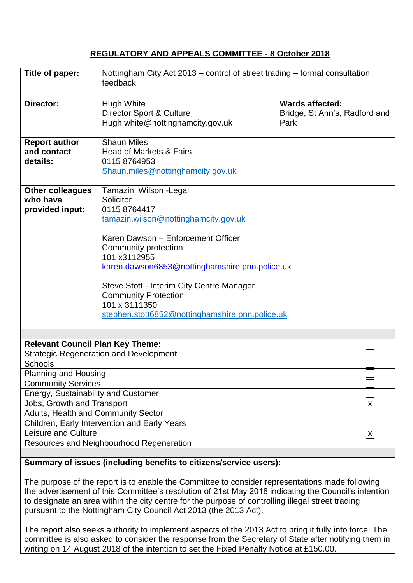### **REGULATORY AND APPEALS COMMITTEE - 8 October 2018**

| Title of paper:                               | Nottingham City Act 2013 – control of street trading – formal consultation<br>feedback |                               |   |
|-----------------------------------------------|----------------------------------------------------------------------------------------|-------------------------------|---|
| Director:                                     | <b>Hugh White</b>                                                                      | <b>Wards affected:</b>        |   |
|                                               | Director Sport & Culture                                                               | Bridge, St Ann's, Radford and |   |
|                                               | Hugh.white@nottinghamcity.gov.uk                                                       | Park                          |   |
|                                               |                                                                                        |                               |   |
| <b>Report author</b>                          | <b>Shaun Miles</b>                                                                     |                               |   |
| and contact                                   | Head of Markets & Fairs                                                                |                               |   |
| details:                                      | 0115 8764953                                                                           |                               |   |
|                                               | Shaun.miles@nottinghamcity.gov.uk                                                      |                               |   |
|                                               |                                                                                        |                               |   |
| <b>Other colleagues</b>                       | Tamazin Wilson - Legal                                                                 |                               |   |
| who have                                      | Solicitor                                                                              |                               |   |
| provided input:                               | 0115 8764417                                                                           |                               |   |
|                                               | tamazin.wilson@nottinghamcity.gov.uk                                                   |                               |   |
|                                               | Karen Dawson - Enforcement Officer                                                     |                               |   |
|                                               | Community protection                                                                   |                               |   |
|                                               | 101 x3112955                                                                           |                               |   |
|                                               | karen.dawson6853@nottinghamshire.pnn.police.uk                                         |                               |   |
|                                               |                                                                                        |                               |   |
|                                               | Steve Stott - Interim City Centre Manager                                              |                               |   |
|                                               | <b>Community Protection</b>                                                            |                               |   |
|                                               | 101 x 3111350                                                                          |                               |   |
|                                               | stephen.stott6852@nottinghamshire.pnn.police.uk                                        |                               |   |
|                                               |                                                                                        |                               |   |
|                                               |                                                                                        |                               |   |
| <b>Relevant Council Plan Key Theme:</b>       |                                                                                        |                               |   |
| <b>Strategic Regeneration and Development</b> |                                                                                        |                               |   |
| <b>Schools</b>                                |                                                                                        |                               |   |
| <b>Planning and Housing</b>                   |                                                                                        |                               |   |
| <b>Community Services</b>                     |                                                                                        |                               |   |
| Energy, Sustainability and Customer           |                                                                                        |                               |   |
| Jobs, Growth and Transport                    |                                                                                        |                               | X |
| Adults, Health and Community Sector           |                                                                                        |                               |   |
| Children, Early Intervention and Early Years  |                                                                                        |                               |   |
| Leisure and Culture                           |                                                                                        |                               | X |
| Resources and Neighbourhood Regeneration      |                                                                                        |                               |   |
|                                               |                                                                                        |                               |   |

## **Summary of issues (including benefits to citizens/service users):**

The purpose of the report is to enable the Committee to consider representations made following the advertisement of this Committee's resolution of 21st May 2018 indicating the Council's intention to designate an area within the city centre for the purpose of controlling illegal street trading pursuant to the Nottingham City Council Act 2013 (the 2013 Act).

The report also seeks authority to implement aspects of the 2013 Act to bring it fully into force. The committee is also asked to consider the response from the Secretary of State after notifying them in writing on 14 August 2018 of the intention to set the Fixed Penalty Notice at £150.00.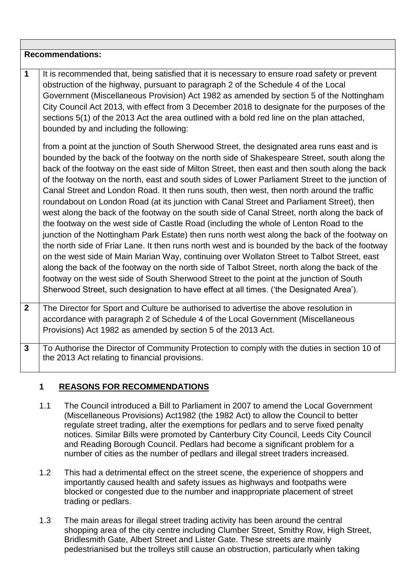| <b>Recommendations:</b> |                                                                                                                                                                                                                                                                                                                                                                                                                                                                                                                                                                                                                                                                                                                                                                                                                                                                                                                                                                                                                                                                                                                                                                                                                                                                                                                                                                                 |  |
|-------------------------|---------------------------------------------------------------------------------------------------------------------------------------------------------------------------------------------------------------------------------------------------------------------------------------------------------------------------------------------------------------------------------------------------------------------------------------------------------------------------------------------------------------------------------------------------------------------------------------------------------------------------------------------------------------------------------------------------------------------------------------------------------------------------------------------------------------------------------------------------------------------------------------------------------------------------------------------------------------------------------------------------------------------------------------------------------------------------------------------------------------------------------------------------------------------------------------------------------------------------------------------------------------------------------------------------------------------------------------------------------------------------------|--|
| $\mathbf{1}$            | It is recommended that, being satisfied that it is necessary to ensure road safety or prevent<br>obstruction of the highway, pursuant to paragraph 2 of the Schedule 4 of the Local<br>Government (Miscellaneous Provision) Act 1982 as amended by section 5 of the Nottingham<br>City Council Act 2013, with effect from 3 December 2018 to designate for the purposes of the<br>sections 5(1) of the 2013 Act the area outlined with a bold red line on the plan attached,<br>bounded by and including the following:                                                                                                                                                                                                                                                                                                                                                                                                                                                                                                                                                                                                                                                                                                                                                                                                                                                         |  |
|                         | from a point at the junction of South Sherwood Street, the designated area runs east and is<br>bounded by the back of the footway on the north side of Shakespeare Street, south along the<br>back of the footway on the east side of Milton Street, then east and then south along the back<br>of the footway on the north, east and south sides of Lower Parliament Street to the junction of<br>Canal Street and London Road. It then runs south, then west, then north around the traffic<br>roundabout on London Road (at its junction with Canal Street and Parliament Street), then<br>west along the back of the footway on the south side of Canal Street, north along the back of<br>the footway on the west side of Castle Road (including the whole of Lenton Road to the<br>junction of the Nottingham Park Estate) then runs north west along the back of the footway on<br>the north side of Friar Lane. It then runs north west and is bounded by the back of the footway<br>on the west side of Main Marian Way, continuing over Wollaton Street to Talbot Street, east<br>along the back of the footway on the north side of Talbot Street, north along the back of the<br>footway on the west side of South Sherwood Street to the point at the junction of South<br>Sherwood Street, such designation to have effect at all times. ('the Designated Area'). |  |
| $\overline{2}$          | The Director for Sport and Culture be authorised to advertise the above resolution in<br>accordance with paragraph 2 of Schedule 4 of the Local Government (Miscellaneous<br>Provisions) Act 1982 as amended by section 5 of the 2013 Act.                                                                                                                                                                                                                                                                                                                                                                                                                                                                                                                                                                                                                                                                                                                                                                                                                                                                                                                                                                                                                                                                                                                                      |  |
| $\mathbf{3}$            | To Authorise the Director of Community Protection to comply with the duties in section 10 of<br>the 2013 Act relating to financial provisions.                                                                                                                                                                                                                                                                                                                                                                                                                                                                                                                                                                                                                                                                                                                                                                                                                                                                                                                                                                                                                                                                                                                                                                                                                                  |  |

# **1 REASONS FOR RECOMMENDATIONS**

- 1.1 The Council introduced a Bill to Parliament in 2007 to amend the Local Government (Miscellaneous Provisions) Act1982 (the 1982 Act) to allow the Council to better regulate street trading, alter the exemptions for pedlars and to serve fixed penalty notices. Similar Bills were promoted by Canterbury City Council, Leeds City Council and Reading Borough Council. Pedlars had become a significant problem for a number of cities as the number of pedlars and illegal street traders increased.
- 1.2 This had a detrimental effect on the street scene, the experience of shoppers and importantly caused health and safety issues as highways and footpaths were blocked or congested due to the number and inappropriate placement of street trading or pedlars.
- 1.3 The main areas for illegal street trading activity has been around the central shopping area of the city centre including Clumber Street, Smithy Row, High Street, Bridlesmith Gate, Albert Street and Lister Gate. These streets are mainly pedestrianised but the trolleys still cause an obstruction, particularly when taking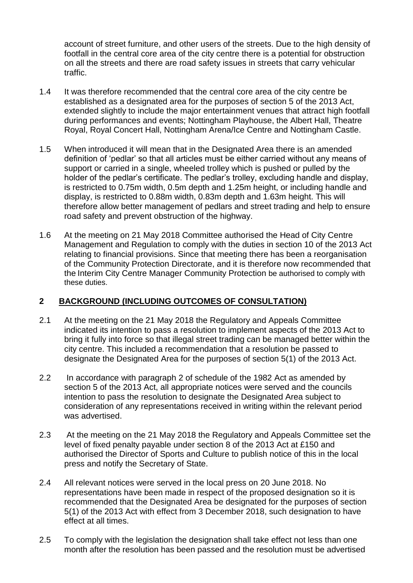account of street furniture, and other users of the streets. Due to the high density of footfall in the central core area of the city centre there is a potential for obstruction on all the streets and there are road safety issues in streets that carry vehicular traffic.

- 1.4 It was therefore recommended that the central core area of the city centre be established as a designated area for the purposes of section 5 of the 2013 Act, extended slightly to include the major entertainment venues that attract high footfall during performances and events; Nottingham Playhouse, the Albert Hall, Theatre Royal, Royal Concert Hall, Nottingham Arena/Ice Centre and Nottingham Castle.
- 1.5 When introduced it will mean that in the Designated Area there is an amended definition of 'pedlar' so that all articles must be either carried without any means of support or carried in a single, wheeled trolley which is pushed or pulled by the holder of the pedlar's certificate. The pedlar's trolley, excluding handle and display, is restricted to 0.75m width, 0.5m depth and 1.25m height, or including handle and display, is restricted to 0.88m width, 0.83m depth and 1.63m height. This will therefore allow better management of pedlars and street trading and help to ensure road safety and prevent obstruction of the highway.
- 1.6 At the meeting on 21 May 2018 Committee authorised the Head of City Centre Management and Regulation to comply with the duties in section 10 of the 2013 Act relating to financial provisions. Since that meeting there has been a reorganisation of the Community Protection Directorate, and it is therefore now recommended that the Interim City Centre Manager Community Protection be authorised to comply with these duties.

## **2 BACKGROUND (INCLUDING OUTCOMES OF CONSULTATION)**

- 2.1 At the meeting on the 21 May 2018 the Regulatory and Appeals Committee indicated its intention to pass a resolution to implement aspects of the 2013 Act to bring it fully into force so that illegal street trading can be managed better within the city centre. This included a recommendation that a resolution be passed to designate the Designated Area for the purposes of section 5(1) of the 2013 Act.
- 2.2 In accordance with paragraph 2 of schedule of the 1982 Act as amended by section 5 of the 2013 Act, all appropriate notices were served and the councils intention to pass the resolution to designate the Designated Area subject to consideration of any representations received in writing within the relevant period was advertised.
- 2.3 At the meeting on the 21 May 2018 the Regulatory and Appeals Committee set the level of fixed penalty payable under section 8 of the 2013 Act at £150 and authorised the Director of Sports and Culture to publish notice of this in the local press and notify the Secretary of State.
- 2.4 All relevant notices were served in the local press on 20 June 2018. No representations have been made in respect of the proposed designation so it is recommended that the Designated Area be designated for the purposes of section 5(1) of the 2013 Act with effect from 3 December 2018, such designation to have effect at all times.
- 2.5 To comply with the legislation the designation shall take effect not less than one month after the resolution has been passed and the resolution must be advertised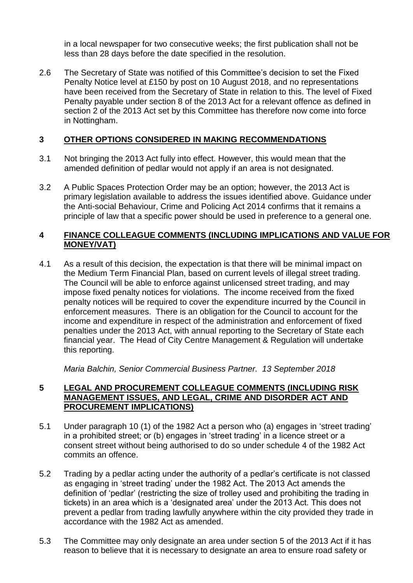in a local newspaper for two consecutive weeks; the first publication shall not be less than 28 days before the date specified in the resolution.

2.6 The Secretary of State was notified of this Committee's decision to set the Fixed Penalty Notice level at £150 by post on 10 August 2018, and no representations have been received from the Secretary of State in relation to this. The level of Fixed Penalty payable under section 8 of the 2013 Act for a relevant offence as defined in section 2 of the 2013 Act set by this Committee has therefore now come into force in Nottingham.

## **3 OTHER OPTIONS CONSIDERED IN MAKING RECOMMENDATIONS**

- 3.1 Not bringing the 2013 Act fully into effect. However, this would mean that the amended definition of pedlar would not apply if an area is not designated.
- 3.2 A Public Spaces Protection Order may be an option; however, the 2013 Act is primary legislation available to address the issues identified above. Guidance under the Anti-social Behaviour, Crime and Policing Act 2014 confirms that it remains a principle of law that a specific power should be used in preference to a general one.

### **4 FINANCE COLLEAGUE COMMENTS (INCLUDING IMPLICATIONS AND VALUE FOR MONEY/VAT)**

4.1 As a result of this decision, the expectation is that there will be minimal impact on the Medium Term Financial Plan, based on current levels of illegal street trading. The Council will be able to enforce against unlicensed street trading, and may impose fixed penalty notices for violations. The income received from the fixed penalty notices will be required to cover the expenditure incurred by the Council in enforcement measures. There is an obligation for the Council to account for the income and expenditure in respect of the administration and enforcement of fixed penalties under the 2013 Act, with annual reporting to the Secretary of State each financial year. The Head of City Centre Management & Regulation will undertake this reporting.

*Maria Balchin, Senior Commercial Business Partner. 13 September 2018* 

#### **5 LEGAL AND PROCUREMENT COLLEAGUE COMMENTS (INCLUDING RISK MANAGEMENT ISSUES, AND LEGAL, CRIME AND DISORDER ACT AND PROCUREMENT IMPLICATIONS)**

- 5.1 Under paragraph 10 (1) of the 1982 Act a person who (a) engages in 'street trading' in a prohibited street; or (b) engages in 'street trading' in a licence street or a consent street without being authorised to do so under schedule 4 of the 1982 Act commits an offence.
- 5.2 Trading by a pedlar acting under the authority of a pedlar's certificate is not classed as engaging in 'street trading' under the 1982 Act. The 2013 Act amends the definition of 'pedlar' (restricting the size of trolley used and prohibiting the trading in tickets) in an area which is a 'designated area' under the 2013 Act. This does not prevent a pedlar from trading lawfully anywhere within the city provided they trade in accordance with the 1982 Act as amended.
- 5.3 The Committee may only designate an area under section 5 of the 2013 Act if it has reason to believe that it is necessary to designate an area to ensure road safety or